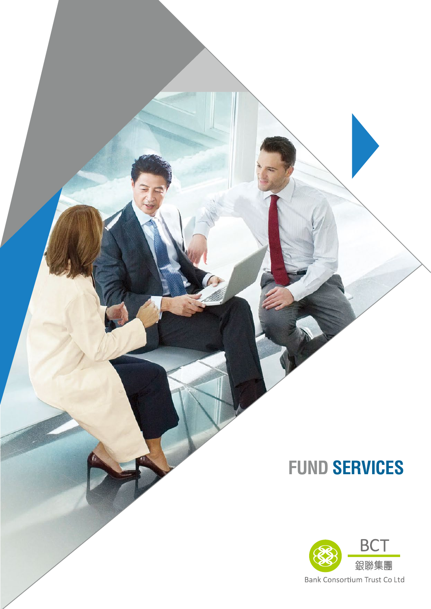

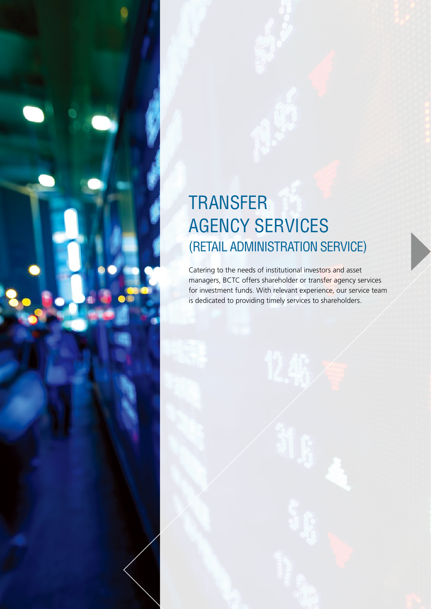### **TRANSFER** AGENCY SERVICES (RETAIL ADMINISTRATION SERVICE)

Catering to the needs of institutional investors and asset managers, BCTC offers shareholder or transfer agency services for investment funds. With relevant experience, our service team is dedicated to providing timely services to shareholders.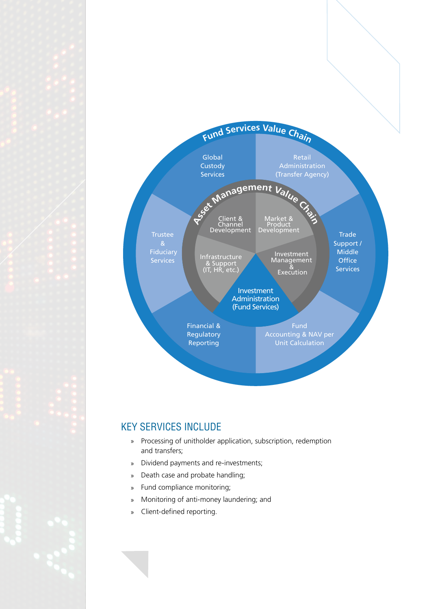

#### KEY SERVICES INCLUDE

- » Processing of unitholder application, subscription, redemption and transfers;
- » Dividend payments and re-investments;
- » Death case and probate handling;
- » Fund compliance monitoring;
- » Monitoring of anti-money laundering; and
- » Client-defined reporting.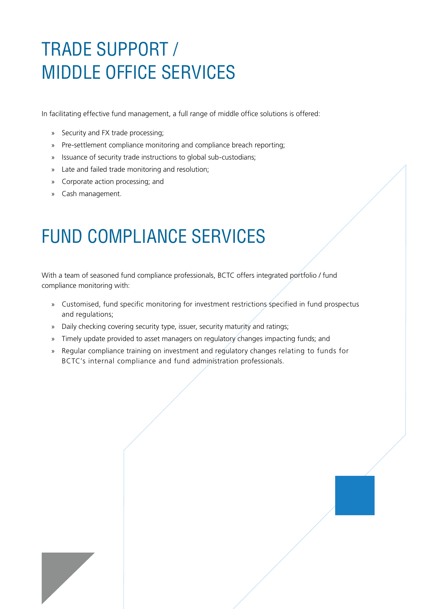# TRADE SUPPORT / MIDDLE OFFICE SERVICES

In facilitating effective fund management, a full range of middle office solutions is offered:

- » Security and FX trade processing;
- » Pre-settlement compliance monitoring and compliance breach reporting;
- » Issuance of security trade instructions to global sub-custodians;
- » Late and failed trade monitoring and resolution;
- » Corporate action processing; and
- » Cash management.

### FUND COMPLIANCE SERVICES

With a team of seasoned fund compliance professionals, BCTC offers integrated portfolio / fund compliance monitoring with:

- » Customised, fund specific monitoring for investment restrictions specified in fund prospectus and regulations;
- » Daily checking covering security type, issuer, security maturity and ratings;
- » Timely update provided to asset managers on regulatory changes impacting funds; and
- » Regular compliance training on investment and regulatory changes relating to funds for BCTC's internal compliance and fund administration professionals.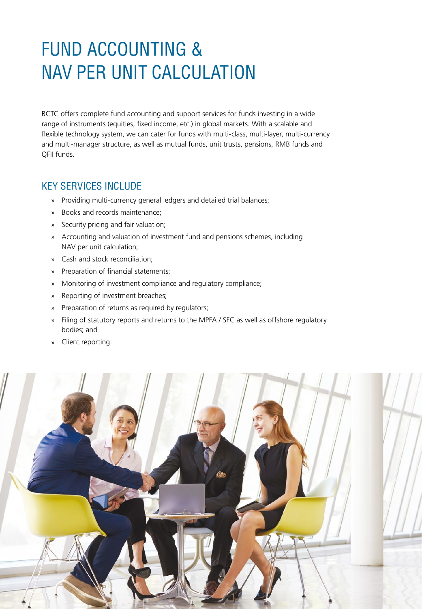### FUND ACCOUNTING & NAV PER UNIT CALCULATION

BCTC offers complete fund accounting and support services for funds investing in a wide range of instruments (equities, fixed income, etc.) in global markets. With a scalable and flexible technology system, we can cater for funds with multi-class, multi-layer, multi-currency and multi-manager structure, as well as mutual funds, unit trusts, pensions, RMB funds and QFII funds.

#### KEY SERVICES INCLUDE

- » Providing multi-currency general ledgers and detailed trial balances;
- » Books and records maintenance;
- » Security pricing and fair valuation;
- » Accounting and valuation of investment fund and pensions schemes, including NAV per unit calculation;
- » Cash and stock reconciliation;
- » Preparation of financial statements;
- » Monitoring of investment compliance and regulatory compliance;
- » Reporting of investment breaches;
- » Preparation of returns as required by regulators;
- » Filing of statutory reports and returns to the MPFA / SFC as well as offshore regulatory bodies; and
- » Client reporting.

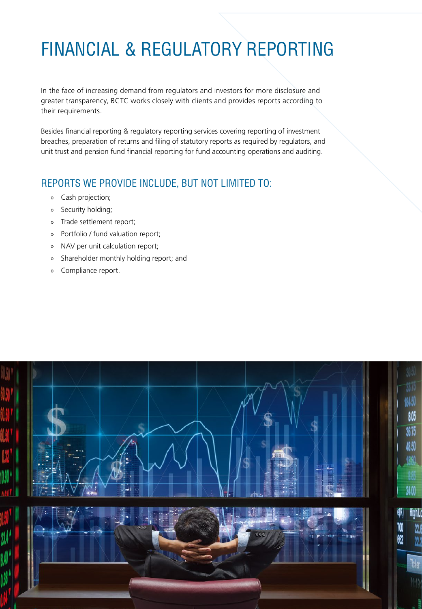# FINANCIAL & REGULATORY REPORTING

In the face of increasing demand from regulators and investors for more disclosure and greater transparency, BCTC works closely with clients and provides reports according to their requirements.

Besides financial reporting & regulatory reporting services covering reporting of investment breaches, preparation of returns and filing of statutory reports as required by regulators, and unit trust and pension fund financial reporting for fund accounting operations and auditing.

#### REPORTS WE PROVIDE INCLUDE, BUT NOT LIMITED TO:

- » Cash projection;
- » Security holding;
- » Trade settlement report;
- » Portfolio / fund valuation report;
- » NAV per unit calculation report;
- » Shareholder monthly holding report; and
- » Compliance report.

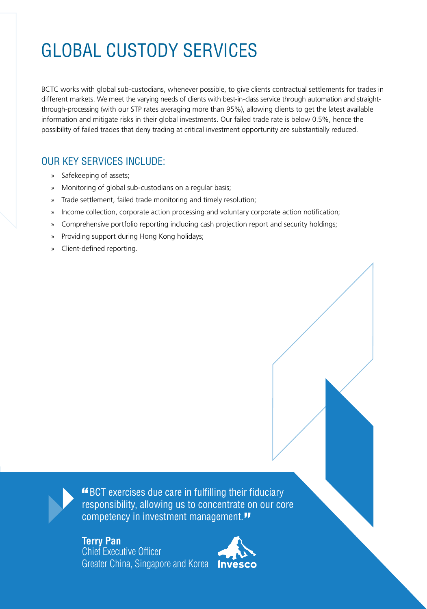# GLOBAL CUSTODY SERVICES

BCTC works with global sub-custodians, whenever possible, to give clients contractual settlements for trades in different markets. We meet the varying needs of clients with best-in-class service through automation and straightthrough-processing (with our STP rates averaging more than 95%), allowing clients to get the latest available information and mitigate risks in their global investments. Our failed trade rate is below 0.5%, hence the possibility of failed trades that deny trading at critical investment opportunity are substantially reduced.

### OUR KEY SERVICES INCLUDE:

- » Safekeeping of assets;
- » Monitoring of global sub-custodians on a regular basis;
- » Trade settlement, failed trade monitoring and timely resolution;
- » Income collection, corporate action processing and voluntary corporate action notification;
- » Comprehensive portfolio reporting including cash projection report and security holdings;
- » Providing support during Hong Kong holidays;
- » Client-defined reporting.

 BCT exercises due care in fulfilling their fiduciary responsibility, allowing us to concentrate on our core competency in investment management."

**Terry Pan** Chief Executive Officer Greater China, Singapore and Korea